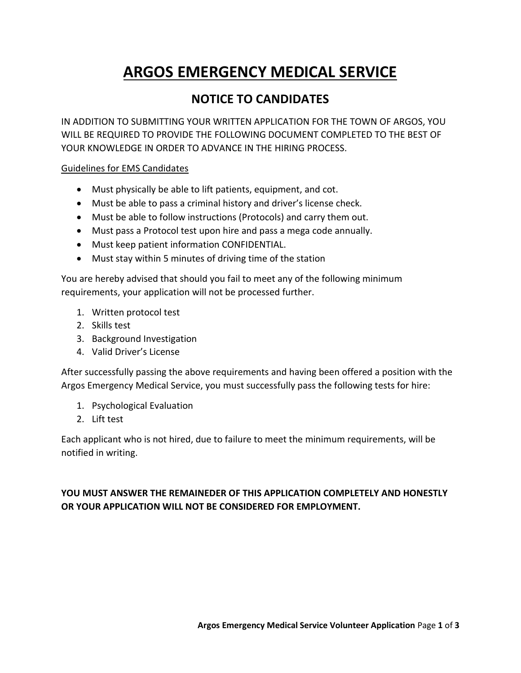# **ARGOS EMERGENCY MEDICAL SERVICE**

### **NOTICE TO CANDIDATES**

IN ADDITION TO SUBMITTING YOUR WRITTEN APPLICATION FOR THE TOWN OF ARGOS, YOU WILL BE REQUIRED TO PROVIDE THE FOLLOWING DOCUMENT COMPLETED TO THE BEST OF YOUR KNOWLEDGE IN ORDER TO ADVANCE IN THE HIRING PROCESS.

Guidelines for EMS Candidates

- Must physically be able to lift patients, equipment, and cot.
- Must be able to pass a criminal history and driver's license check.
- Must be able to follow instructions (Protocols) and carry them out.
- Must pass a Protocol test upon hire and pass a mega code annually.
- Must keep patient information CONFIDENTIAL.
- Must stay within 5 minutes of driving time of the station

You are hereby advised that should you fail to meet any of the following minimum requirements, your application will not be processed further.

- 1. Written protocol test
- 2. Skills test
- 3. Background Investigation
- 4. Valid Driver's License

After successfully passing the above requirements and having been offered a position with the Argos Emergency Medical Service, you must successfully pass the following tests for hire:

- 1. Psychological Evaluation
- 2. Lift test

Each applicant who is not hired, due to failure to meet the minimum requirements, will be notified in writing.

### **YOU MUST ANSWER THE REMAINEDER OF THIS APPLICATION COMPLETELY AND HONESTLY OR YOUR APPLICATION WILL NOT BE CONSIDERED FOR EMPLOYMENT.**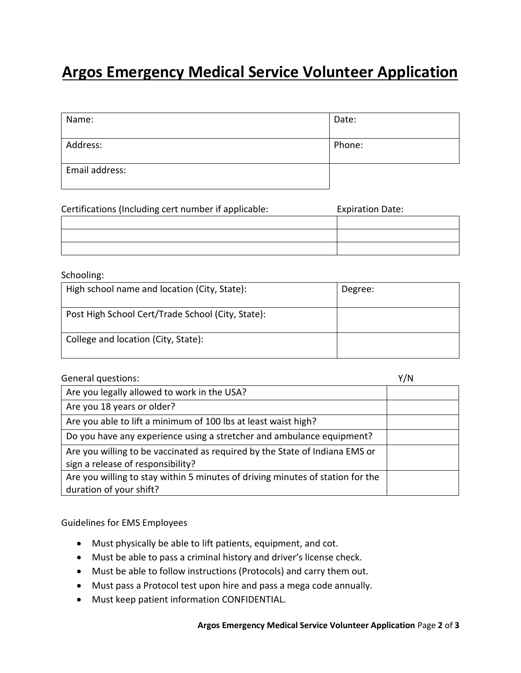## **Argos Emergency Medical Service Volunteer Application**

| Name:          | Date:  |
|----------------|--------|
| Address:       | Phone: |
| Email address: |        |

| Certifications (Including cert number if applicable: | <b>Expiration Date:</b> |
|------------------------------------------------------|-------------------------|
|                                                      |                         |
|                                                      |                         |
|                                                      |                         |

#### Schooling:

| High school name and location (City, State):      | Degree: |
|---------------------------------------------------|---------|
| Post High School Cert/Trade School (City, State): |         |
| College and location (City, State):               |         |

|  | General questions: |
|--|--------------------|
|--|--------------------|

| <b>General questions:</b>                                                                                        | Y/N |
|------------------------------------------------------------------------------------------------------------------|-----|
| Are you legally allowed to work in the USA?                                                                      |     |
| Are you 18 years or older?                                                                                       |     |
| Are you able to lift a minimum of 100 lbs at least waist high?                                                   |     |
| Do you have any experience using a stretcher and ambulance equipment?                                            |     |
| Are you willing to be vaccinated as required by the State of Indiana EMS or<br>sign a release of responsibility? |     |
| Are you willing to stay within 5 minutes of driving minutes of station for the                                   |     |
| duration of your shift?                                                                                          |     |

Guidelines for EMS Employees

- Must physically be able to lift patients, equipment, and cot.
- Must be able to pass a criminal history and driver's license check.
- Must be able to follow instructions (Protocols) and carry them out.
- Must pass a Protocol test upon hire and pass a mega code annually.
- Must keep patient information CONFIDENTIAL.